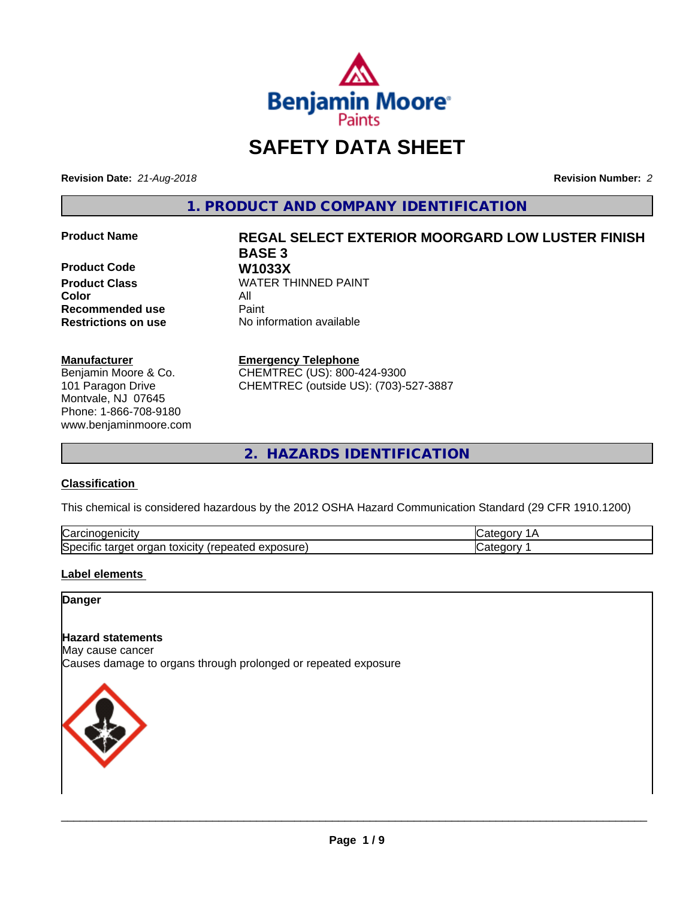

# **SAFETY DATA SHEET**

**Revision Date:** *21-Aug-2018* **Revision Number:** *2*

**1. PRODUCT AND COMPANY IDENTIFICATION**

**Product Code W1033X**<br>**Product Class** WATER TH **Color** All **Recommended use Caint** 

#### **Manufacturer**

Benjamin Moore & Co. 101 Paragon Drive Montvale, NJ 07645 Phone: 1-866-708-9180 www.benjaminmoore.com

# **Product Name REGAL SELECT EXTERIOR MOORGARD LOW LUSTER FINISH BASE 3 WATER THINNED PAINT**

**Restrictions on use** No information available

**Emergency Telephone**

CHEMTREC (US): 800-424-9300 CHEMTREC (outside US): (703)-527-3887

**2. HAZARDS IDENTIFICATION**

#### **Classification**

This chemical is considered hazardous by the 2012 OSHA Hazard Communication Standard (29 CFR 1910.1200)

| ∽<br>.<br>Nd                                                       |  |
|--------------------------------------------------------------------|--|
| הו<br>osure<br>⊿vr<br><br>'N⊢.<br>∋xr no<br>aaneo<br>⊶<br>$\ldots$ |  |

#### **Label elements**

#### **Danger**

# **Hazard statements**

May cause cancer Causes damage to organs through prolonged or repeated exposure

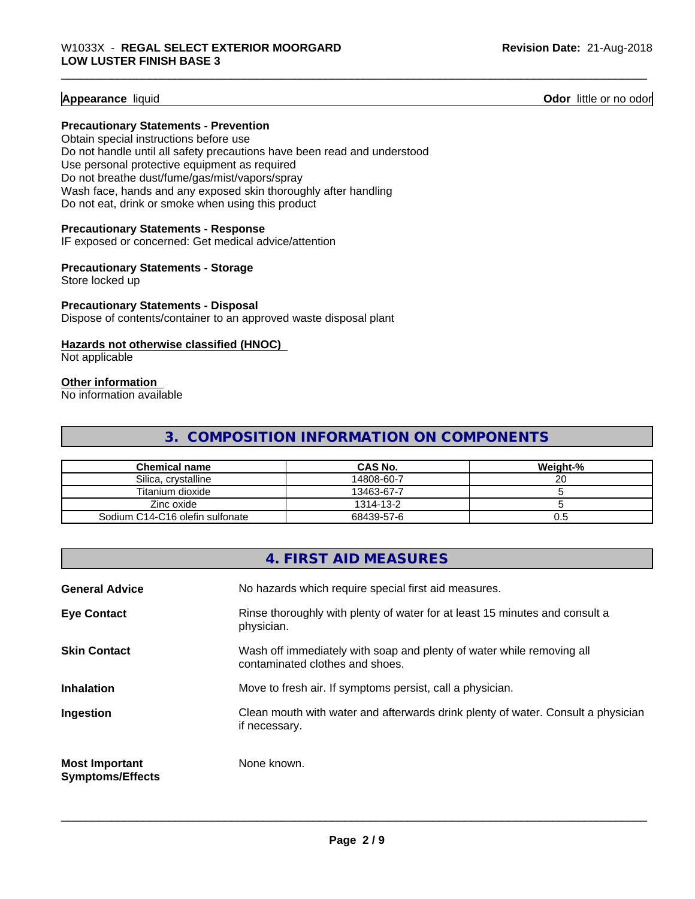#### **Appearance** liquid **Contract Contract Contract Contract Contract Contract Contract Contract Contract Contract Contract Contract Contract Contract Contract Contract Contract Contract Contract Contract Contract Contract Con**

#### **Precautionary Statements - Prevention**

Obtain special instructions before use Do not handle until all safety precautions have been read and understood Use personal protective equipment as required Do not breathe dust/fume/gas/mist/vapors/spray Wash face, hands and any exposed skin thoroughly after handling Do not eat, drink or smoke when using this product

#### **Precautionary Statements - Response**

IF exposed or concerned: Get medical advice/attention

#### **Precautionary Statements - Storage**

Store locked up

#### **Precautionary Statements - Disposal**

Dispose of contents/container to an approved waste disposal plant

#### **Hazards not otherwise classified (HNOC)**

Not applicable

#### **Other information**

No information available

# **3. COMPOSITION INFORMATION ON COMPONENTS**

| Chemical name                   | <b>CAS No.</b> | Weight-% |
|---------------------------------|----------------|----------|
| Silica, crystalline             | 14808-60-7     | ∠∪       |
| Titanium dioxide                | 13463-67-7     |          |
| Zinc oxide                      | 1314-13-2      |          |
| Sodium C14-C16 olefin sulfonate | 68439-57-6     | U.G      |

# **4. FIRST AID MEASURES**

| <b>General Advice</b>                            | No hazards which require special first aid measures.                                                     |
|--------------------------------------------------|----------------------------------------------------------------------------------------------------------|
| <b>Eye Contact</b>                               | Rinse thoroughly with plenty of water for at least 15 minutes and consult a<br>physician.                |
| <b>Skin Contact</b>                              | Wash off immediately with soap and plenty of water while removing all<br>contaminated clothes and shoes. |
| <b>Inhalation</b>                                | Move to fresh air. If symptoms persist, call a physician.                                                |
| Ingestion                                        | Clean mouth with water and afterwards drink plenty of water. Consult a physician<br>if necessary.        |
| <b>Most Important</b><br><b>Symptoms/Effects</b> | None known.                                                                                              |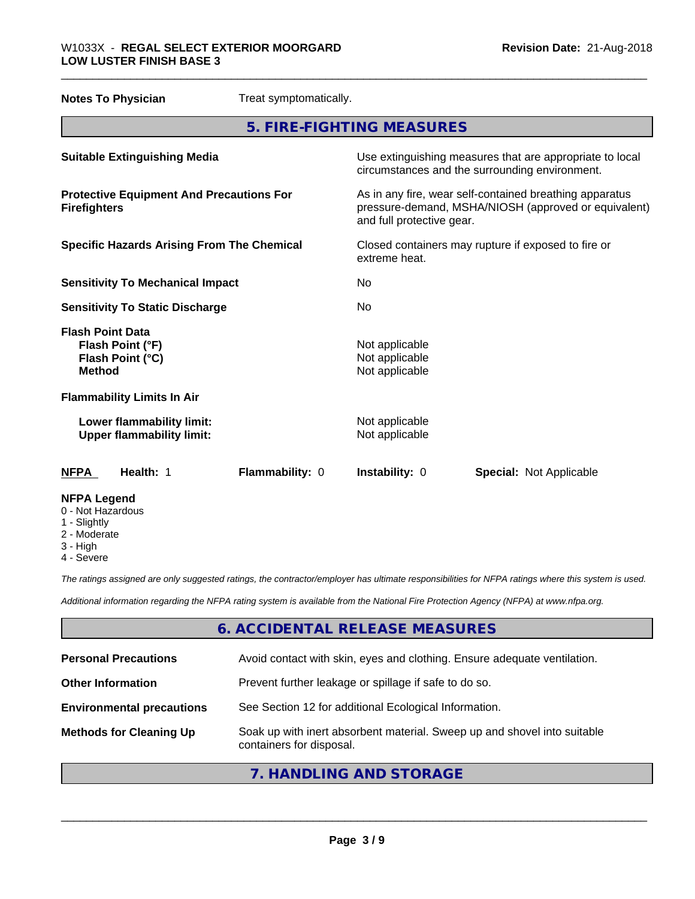| <b>Notes To Physician</b>                                                        | Treat symptomatically. |                                                                                                                                              |                                |
|----------------------------------------------------------------------------------|------------------------|----------------------------------------------------------------------------------------------------------------------------------------------|--------------------------------|
|                                                                                  |                        | 5. FIRE-FIGHTING MEASURES                                                                                                                    |                                |
| <b>Suitable Extinguishing Media</b>                                              |                        | Use extinguishing measures that are appropriate to local<br>circumstances and the surrounding environment.                                   |                                |
| <b>Protective Equipment And Precautions For</b><br><b>Firefighters</b>           |                        | As in any fire, wear self-contained breathing apparatus<br>pressure-demand, MSHA/NIOSH (approved or equivalent)<br>and full protective gear. |                                |
| <b>Specific Hazards Arising From The Chemical</b>                                |                        | Closed containers may rupture if exposed to fire or<br>extreme heat.                                                                         |                                |
| <b>Sensitivity To Mechanical Impact</b>                                          |                        | No                                                                                                                                           |                                |
| <b>Sensitivity To Static Discharge</b>                                           |                        | No.                                                                                                                                          |                                |
| <b>Flash Point Data</b><br>Flash Point (°F)<br>Flash Point (°C)<br><b>Method</b> |                        | Not applicable<br>Not applicable<br>Not applicable                                                                                           |                                |
| <b>Flammability Limits In Air</b>                                                |                        |                                                                                                                                              |                                |
| Lower flammability limit:<br><b>Upper flammability limit:</b>                    |                        | Not applicable<br>Not applicable                                                                                                             |                                |
| <b>NFPA</b><br>Health: 1                                                         | Flammability: 0        | Instability: 0                                                                                                                               | <b>Special: Not Applicable</b> |
| <b>NFPA Legend</b><br>0 - Not Hazardous<br>1 - Slightly                          |                        |                                                                                                                                              |                                |

- 2 Moderate
- 3 High
- 4 Severe

*The ratings assigned are only suggested ratings, the contractor/employer has ultimate responsibilities for NFPA ratings where this system is used.*

*Additional information regarding the NFPA rating system is available from the National Fire Protection Agency (NFPA) at www.nfpa.org.*

# **6. ACCIDENTAL RELEASE MEASURES**

| <b>Personal Precautions</b>      | Avoid contact with skin, eyes and clothing. Ensure adequate ventilation.                             |
|----------------------------------|------------------------------------------------------------------------------------------------------|
| <b>Other Information</b>         | Prevent further leakage or spillage if safe to do so.                                                |
| <b>Environmental precautions</b> | See Section 12 for additional Ecological Information.                                                |
| <b>Methods for Cleaning Up</b>   | Soak up with inert absorbent material. Sweep up and shovel into suitable<br>containers for disposal. |
|                                  |                                                                                                      |

# **7. HANDLING AND STORAGE**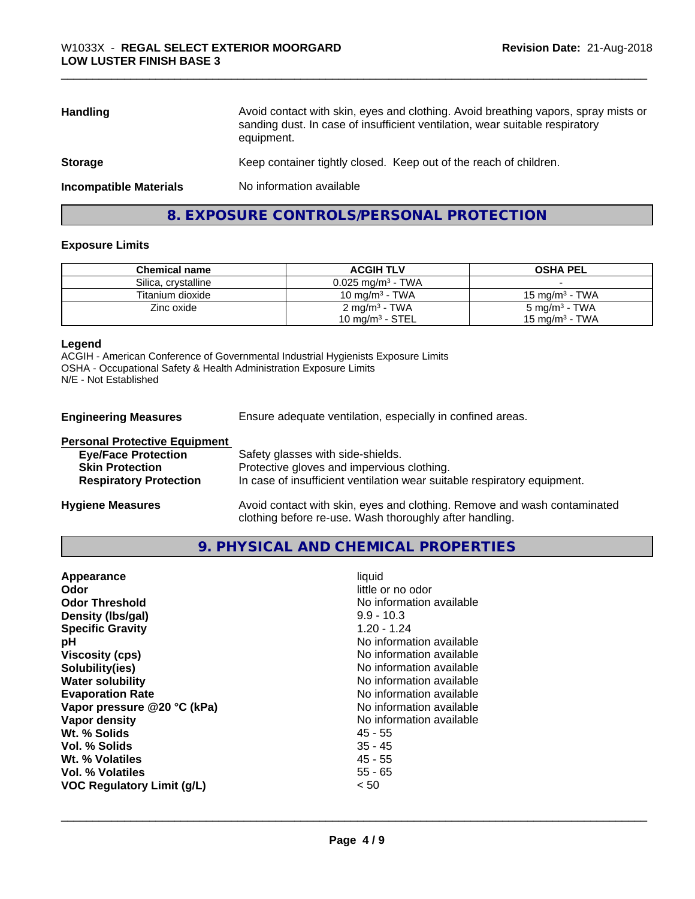| <b>Handling</b>               | Avoid contact with skin, eyes and clothing. Avoid breathing vapors, spray mists or<br>sanding dust. In case of insufficient ventilation, wear suitable respiratory<br>equipment. |  |
|-------------------------------|----------------------------------------------------------------------------------------------------------------------------------------------------------------------------------|--|
| <b>Storage</b>                | Keep container tightly closed. Keep out of the reach of children.                                                                                                                |  |
| <b>Incompatible Materials</b> | No information available                                                                                                                                                         |  |

# **8. EXPOSURE CONTROLS/PERSONAL PROTECTION**

#### **Exposure Limits**

| <b>Chemical name</b> | <b>ACGIH TLV</b>                | <b>OSHA PEL</b>    |
|----------------------|---------------------------------|--------------------|
| Silica, crystalline  | $0.025$ mg/m <sup>3</sup> - TWA |                    |
| Titanium dioxide     | 10 mg/m $3$ - TWA               | 15 mg/m $3$ - TWA  |
| Zinc oxide           | 2 mg/m <sup>3</sup> - TWA       | 5 mg/m $^3$ - TWA  |
|                      | 10 mg/m $3$ - STEL              | 15 mg/m $^3$ - TWA |

#### **Legend**

ACGIH - American Conference of Governmental Industrial Hygienists Exposure Limits OSHA - Occupational Safety & Health Administration Exposure Limits N/E - Not Established

**Engineering Measures** Ensure adequate ventilation, especially in confined areas.

| <b>Personal Protective Equipment</b> |                                                                                                                                     |
|--------------------------------------|-------------------------------------------------------------------------------------------------------------------------------------|
| <b>Eye/Face Protection</b>           | Safety glasses with side-shields.                                                                                                   |
| <b>Skin Protection</b>               | Protective gloves and impervious clothing.                                                                                          |
| <b>Respiratory Protection</b>        | In case of insufficient ventilation wear suitable respiratory equipment.                                                            |
| <b>Hygiene Measures</b>              | Avoid contact with skin, eyes and clothing. Remove and wash contaminated<br>clothing before re-use. Wash thoroughly after handling. |

#### **9. PHYSICAL AND CHEMICAL PROPERTIES**

| liquid<br>Appearance<br>little or no odor<br>Odor<br><b>Odor Threshold</b><br>No information available<br>$9.9 - 10.3$<br>Density (Ibs/gal)<br>$1.20 - 1.24$<br><b>Specific Gravity</b><br>No information available<br>рH<br>No information available<br><b>Viscosity (cps)</b><br>Solubility(ies)<br>No information available<br><b>Water solubility</b><br>No information available<br>No information available<br><b>Evaporation Rate</b><br>No information available<br>Vapor pressure @20 °C (kPa)<br>No information available<br>Vapor density<br>Wt. % Solids<br>45 - 55<br>$35 - 45$<br>Vol. % Solids<br>Wt. % Volatiles<br>45 - 55<br>$55 - 65$<br>Vol. % Volatiles<br><b>VOC Regulatory Limit (g/L)</b><br>< 50 |  |
|---------------------------------------------------------------------------------------------------------------------------------------------------------------------------------------------------------------------------------------------------------------------------------------------------------------------------------------------------------------------------------------------------------------------------------------------------------------------------------------------------------------------------------------------------------------------------------------------------------------------------------------------------------------------------------------------------------------------------|--|
|---------------------------------------------------------------------------------------------------------------------------------------------------------------------------------------------------------------------------------------------------------------------------------------------------------------------------------------------------------------------------------------------------------------------------------------------------------------------------------------------------------------------------------------------------------------------------------------------------------------------------------------------------------------------------------------------------------------------------|--|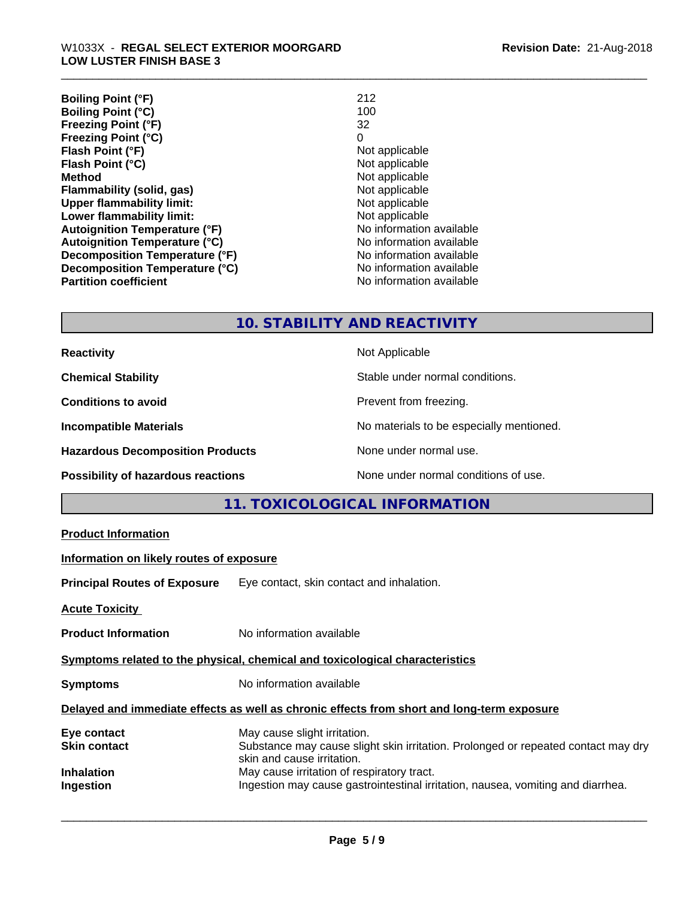| <b>Boiling Point (°F)</b>            | 212                      |
|--------------------------------------|--------------------------|
| <b>Boiling Point (°C)</b>            | 100                      |
| <b>Freezing Point (°F)</b>           | 32                       |
| <b>Freezing Point (°C)</b>           | 0                        |
| Flash Point (°F)                     | Not applicable           |
| Flash Point (°C)                     | Not applicable           |
| <b>Method</b>                        | Not applicable           |
| Flammability (solid, gas)            | Not applicable           |
| <b>Upper flammability limit:</b>     | Not applicable           |
| Lower flammability limit:            | Not applicable           |
| <b>Autoignition Temperature (°F)</b> | No information available |
| <b>Autoignition Temperature (°C)</b> | No information available |
| Decomposition Temperature (°F)       | No information available |
| Decomposition Temperature (°C)       | No information available |
| <b>Partition coefficient</b>         | No information available |

# **10. STABILITY AND REACTIVITY**

| <b>Reactivity</b>                         | Not Applicable                           |  |
|-------------------------------------------|------------------------------------------|--|
| <b>Chemical Stability</b>                 | Stable under normal conditions.          |  |
| <b>Conditions to avoid</b>                | Prevent from freezing.                   |  |
| <b>Incompatible Materials</b>             | No materials to be especially mentioned. |  |
| <b>Hazardous Decomposition Products</b>   | None under normal use.                   |  |
| <b>Possibility of hazardous reactions</b> | None under normal conditions of use.     |  |

# **11. TOXICOLOGICAL INFORMATION**

| <b>Product Information</b>                                                                 |                                                                                                                                                 |  |  |
|--------------------------------------------------------------------------------------------|-------------------------------------------------------------------------------------------------------------------------------------------------|--|--|
|                                                                                            | Information on likely routes of exposure                                                                                                        |  |  |
|                                                                                            | <b>Principal Routes of Exposure</b> Eye contact, skin contact and inhalation.                                                                   |  |  |
| <b>Acute Toxicity</b>                                                                      |                                                                                                                                                 |  |  |
| <b>Product Information</b>                                                                 | No information available                                                                                                                        |  |  |
| Symptoms related to the physical, chemical and toxicological characteristics               |                                                                                                                                                 |  |  |
| <b>Symptoms</b>                                                                            | No information available                                                                                                                        |  |  |
| Delayed and immediate effects as well as chronic effects from short and long-term exposure |                                                                                                                                                 |  |  |
| Eye contact<br>Skin contact                                                                | May cause slight irritation.<br>Substance may cause slight skin irritation. Prolonged or repeated contact may dry<br>skin and cause irritation. |  |  |
| Inhalation<br>Ingestion                                                                    | May cause irritation of respiratory tract.<br>Ingestion may cause gastrointestinal irritation, nausea, vomiting and diarrhea.                   |  |  |
|                                                                                            |                                                                                                                                                 |  |  |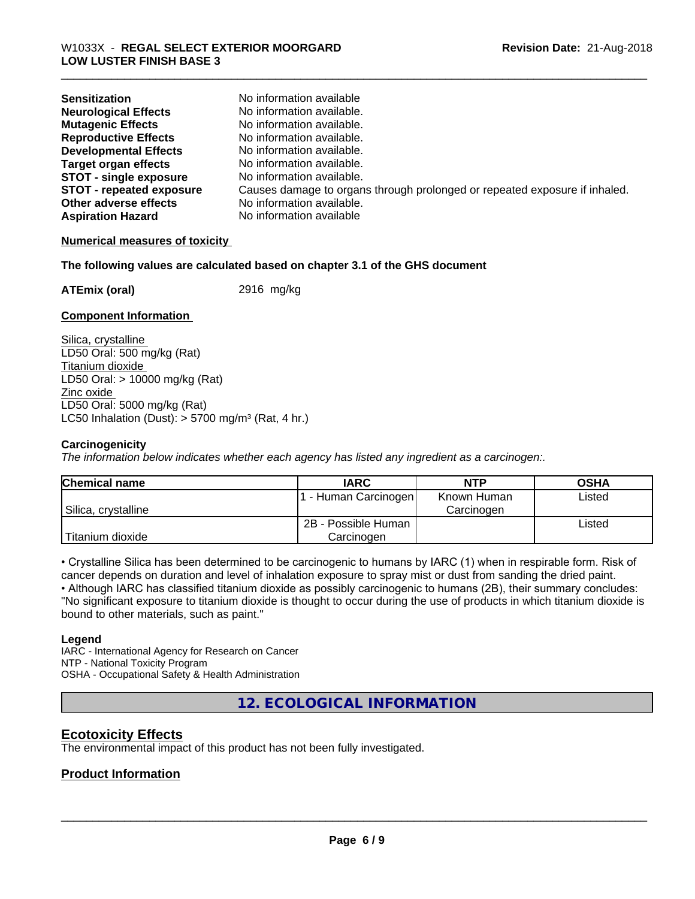| <b>Sensitization</b>            | No information available                                                   |
|---------------------------------|----------------------------------------------------------------------------|
| <b>Neurological Effects</b>     | No information available.                                                  |
| <b>Mutagenic Effects</b>        | No information available.                                                  |
| <b>Reproductive Effects</b>     | No information available.                                                  |
| <b>Developmental Effects</b>    | No information available.                                                  |
| <b>Target organ effects</b>     | No information available.                                                  |
| <b>STOT - single exposure</b>   | No information available.                                                  |
| <b>STOT - repeated exposure</b> | Causes damage to organs through prolonged or repeated exposure if inhaled. |
| Other adverse effects           | No information available.                                                  |
| <b>Aspiration Hazard</b>        | No information available                                                   |

#### **Numerical measures of toxicity**

#### **The following values are calculated based on chapter 3.1 of the GHS document**

**ATEmix (oral)** 2916 mg/kg

#### **Component Information**

Silica, crystalline LD50 Oral: 500 mg/kg (Rat) Titanium dioxide LD50 Oral: > 10000 mg/kg (Rat) Zinc oxide LD50 Oral: 5000 mg/kg (Rat) LC50 Inhalation (Dust):  $> 5700$  mg/m<sup>3</sup> (Rat, 4 hr.)

#### **Carcinogenicity**

*The information below indicateswhether each agency has listed any ingredient as a carcinogen:.*

| <b>Chemical name</b> | <b>IARC</b>          | <b>NTP</b>  | <b>OSHA</b> |
|----------------------|----------------------|-------------|-------------|
|                      | . - Human Carcinogen | Known Human | Listed      |
| Silica, crystalline  |                      | Carcinogen  |             |
|                      | 2B - Possible Human  |             | Listed      |
| Titanium dioxide     | Carcinogen           |             |             |

• Crystalline Silica has been determined to be carcinogenic to humans by IARC (1) when in respirable form. Risk of cancer depends on duration and level of inhalation exposure to spray mist or dust from sanding the dried paint.

• Although IARC has classified titanium dioxide as possibly carcinogenic to humans (2B), their summary concludes: "No significant exposure to titanium dioxide is thought to occur during the use of products in which titanium dioxide is bound to other materials, such as paint."

#### **Legend**

IARC - International Agency for Research on Cancer NTP - National Toxicity Program OSHA - Occupational Safety & Health Administration

**12. ECOLOGICAL INFORMATION**

#### **Ecotoxicity Effects**

The environmental impact of this product has not been fully investigated.

#### **Product Information**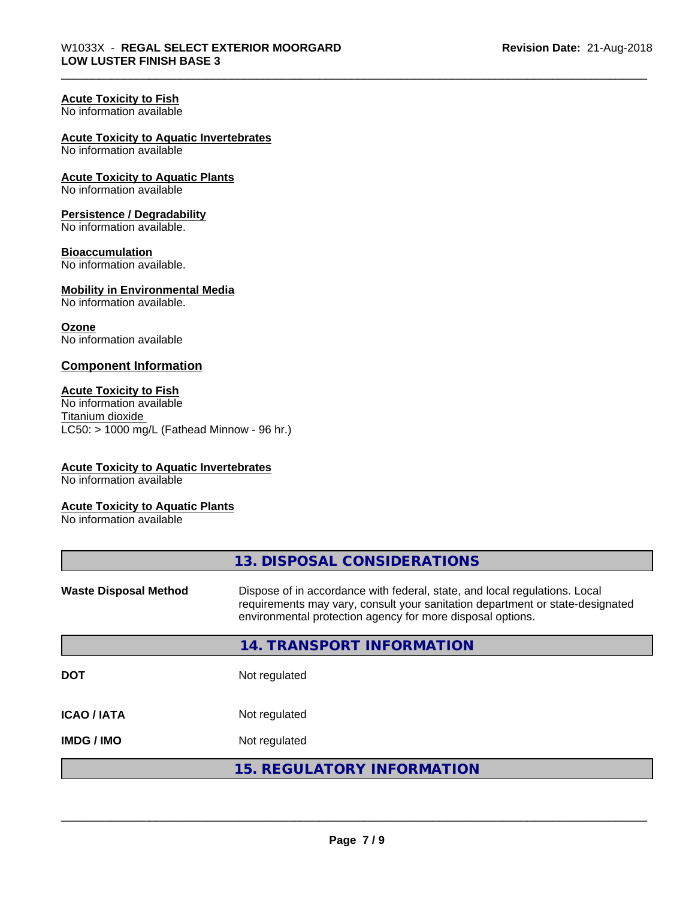#### **Acute Toxicity to Fish**

No information available

#### **Acute Toxicity to Aquatic Invertebrates**

No information available

#### **Acute Toxicity to Aquatic Plants** No information available

# **Persistence / Degradability**

No information available.

#### **Bioaccumulation**

No information available.

# **Mobility in Environmental Media**

No information available.

#### **Ozone**

No information available

#### **Component Information**

#### **Acute Toxicity to Fish**

No information available Titanium dioxide  $LC50:$  > 1000 mg/L (Fathead Minnow - 96 hr.)

#### **Acute Toxicity to Aquatic Invertebrates**

No information available

#### **Acute Toxicity to Aquatic Plants**

No information available

|                              | 13. DISPOSAL CONSIDERATIONS                                                                                                                                                                                               |
|------------------------------|---------------------------------------------------------------------------------------------------------------------------------------------------------------------------------------------------------------------------|
| <b>Waste Disposal Method</b> | Dispose of in accordance with federal, state, and local regulations. Local<br>requirements may vary, consult your sanitation department or state-designated<br>environmental protection agency for more disposal options. |
|                              | 14. TRANSPORT INFORMATION                                                                                                                                                                                                 |
| <b>DOT</b>                   | Not regulated                                                                                                                                                                                                             |
| <b>ICAO/IATA</b>             | Not regulated                                                                                                                                                                                                             |
| <b>IMDG/IMO</b>              | Not regulated                                                                                                                                                                                                             |
|                              | <b>15. REGULATORY INFORMATION</b>                                                                                                                                                                                         |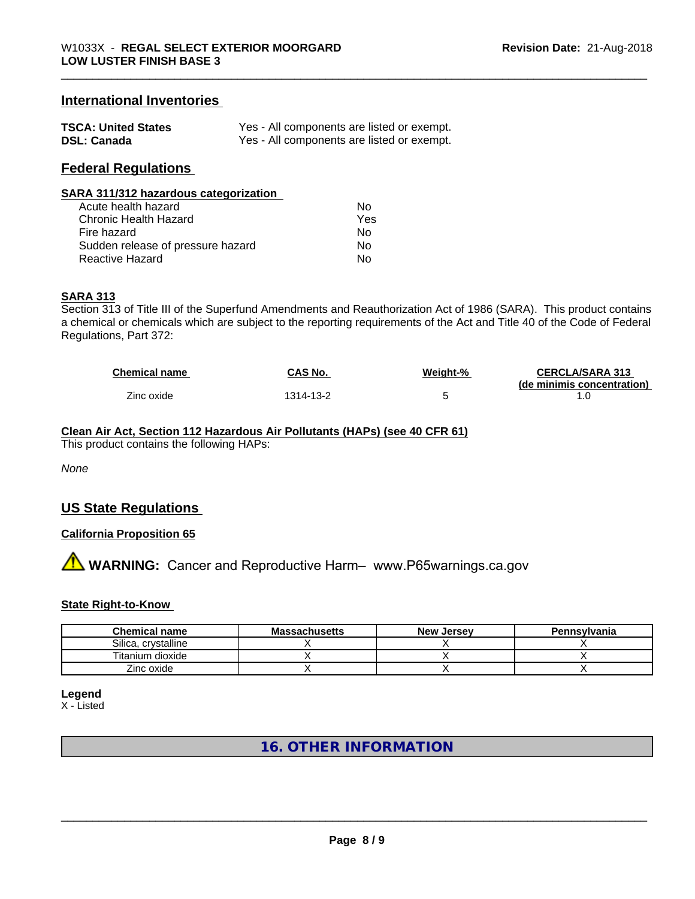# **International Inventories**

| <b>TSCA: United States</b> | Yes - All components are listed or exempt. |
|----------------------------|--------------------------------------------|
| <b>DSL: Canada</b>         | Yes - All components are listed or exempt. |

## **Federal Regulations**

| SARA 311/312 hazardous categorization |     |  |
|---------------------------------------|-----|--|
| Acute health hazard                   | Nο  |  |
| Chronic Health Hazard                 | Yes |  |
| Fire hazard                           | No  |  |
| Sudden release of pressure hazard     | No  |  |
| <b>Reactive Hazard</b>                | No  |  |

#### **SARA 313**

Section 313 of Title III of the Superfund Amendments and Reauthorization Act of 1986 (SARA). This product contains a chemical or chemicals which are subject to the reporting requirements of the Act and Title 40 of the Code of Federal Regulations, Part 372:

| Chemical name | CAS No.   | Weight-% | <b>CERCLA/SARA 313</b><br>(de minimis concentration) |
|---------------|-----------|----------|------------------------------------------------------|
| Zinc oxide    | 1314-13-2 |          |                                                      |

# **Clean Air Act,Section 112 Hazardous Air Pollutants (HAPs) (see 40 CFR 61)**

This product contains the following HAPs:

*None*

# **US State Regulations**

#### **California Proposition 65**

**AVIMARNING:** Cancer and Reproductive Harm– www.P65warnings.ca.gov

#### **State Right-to-Know**

| <b>Chemical name</b> | <b>Massachusetts</b> | <b>New Jersey</b> | Pennsylvania |
|----------------------|----------------------|-------------------|--------------|
| Silica, crystalline  |                      |                   |              |
| Titanium dioxide     |                      |                   |              |
| Zinc oxide           |                      |                   |              |

**Legend**

X - Listed

# **16. OTHER INFORMATION**